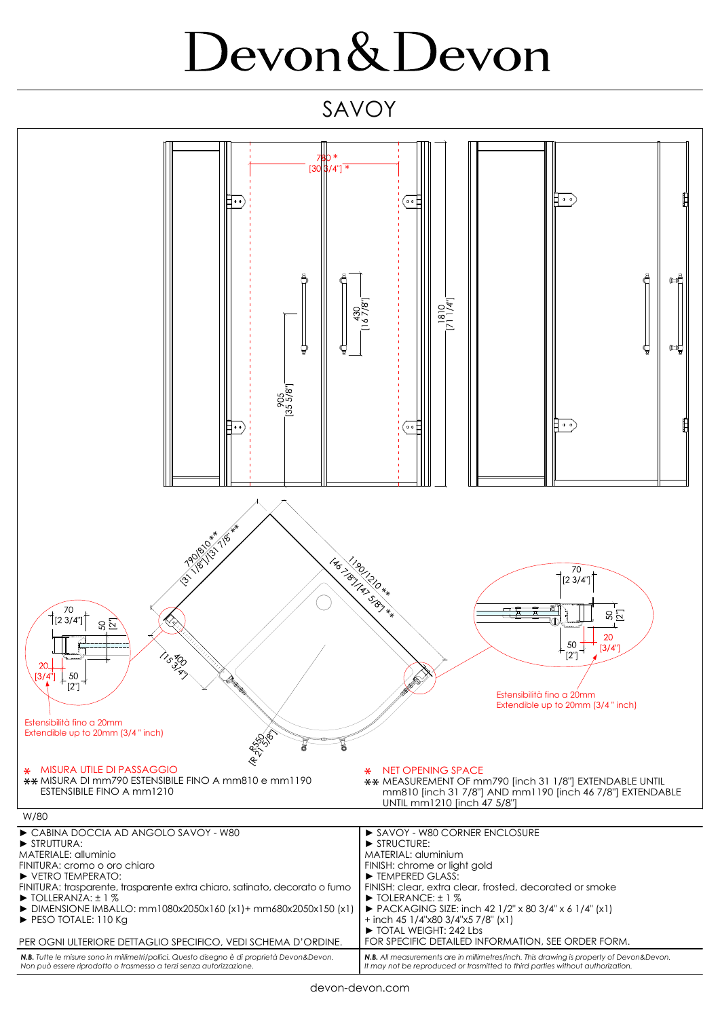## Devon&Devon

SAVOY